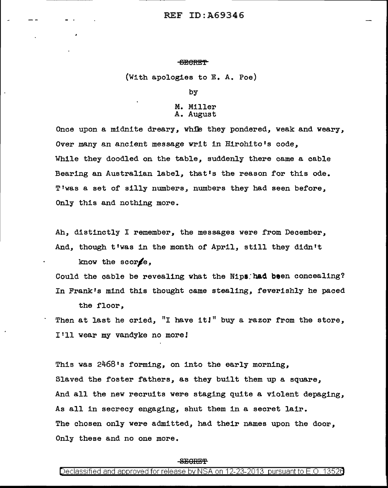#### ~CRE'f

(With apologies to E. A. Poe)

by

## M. Miller A. August

Once upon a midnite dreary, while they pondered, weak and weary, Over many an ancient message writ in Hirohito's code, While they doodled on the table, suddenly there came a cable Bearing an Australian label, that's the reason for this ode. T'was a set of silly numbers, numbers they had seen before, Only this and nothing more.

Ah, distinctly I remember, the messages were from December, And, though t'was in the month of April, still they didn't know the score.

Could the cable be revealing what the Nips had been concealing? In Frank's mind this thought came stealing, feverishly he paced the floor,

Then at last he cried, "I have it!" buy a razor from the store, I'll wear my vandyke no more!

This was 2468's forming, on into the early morning, Slaved the foster fathers, as they built them up a square, And all the new recruits were staging quite a violent depaging, As all in secrecy engaging, shut them in a secret lair. The chosen only were admitted, had their names upon the door, Only these and no one more.

#### $-$ SECRET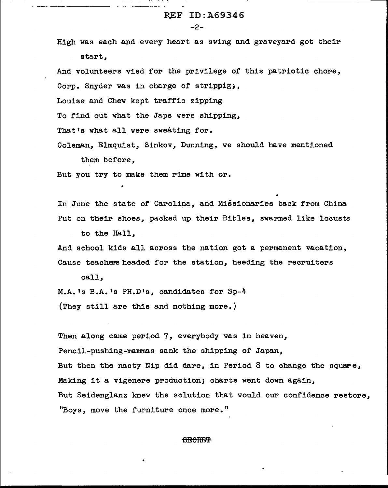-2-

High was each and every heart as swing and graveyard got their start,

And volunteers vied for the privilege of this patriotic chore, Corp. Snyder was in charge of strippig,

Louise and Chew kept traffic zipping

To find out what the Japs were shipping,

That's what all were sweating for.

Coleman, Elmquist, Sinkov, Dunning, we should have mentioned them before,

But you try to make them rime with or.

In June the state of Carolina, and Missionaries back from China. Put on their shoes, packed up their Bibles, swarmed like locusts

to the Hall,

And school kids all across the nation got a permanent vacation, Cause teachers headed for the station, heeding the recruiters

call,

M.A.'s B.A.'s PH.D's, candidates for Sp-4 (They still are this and nothing more.)

Then along came period 7, everybody was in heaven, Pencil-pushing-mammas sank the shipping of Japan, But then the nasty Nip did dare, in Period 8 to change the square, Making it a vigenere production; charts went down again, But Seidenglanz knew the solution that would our confidence restore, "Boys, move the furniture once more."

#### **SECREP**